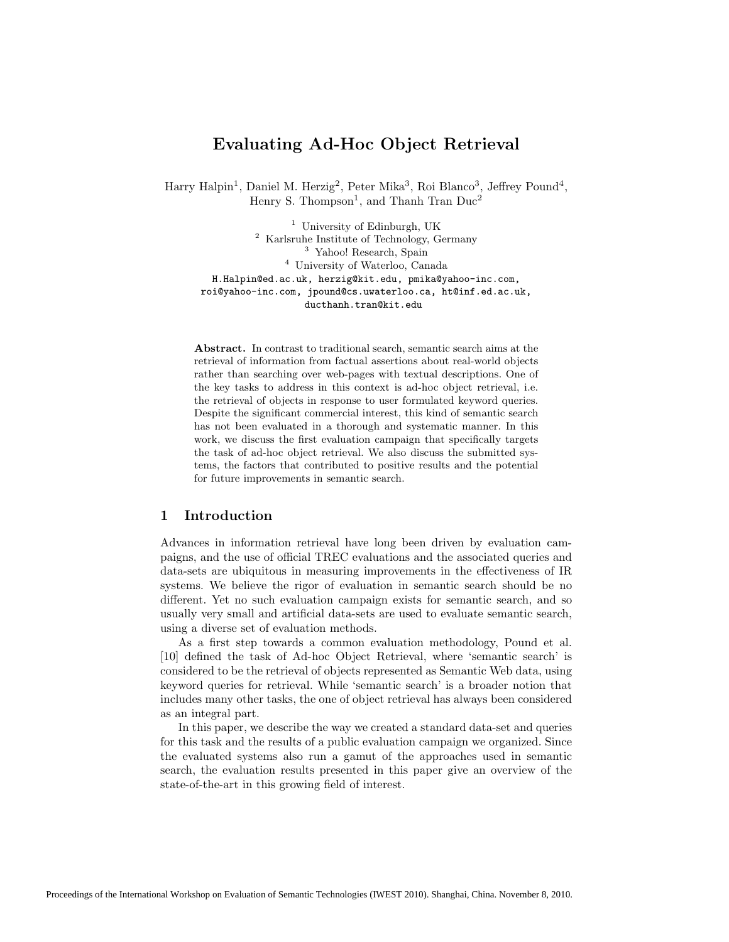# Evaluating Ad-Hoc Object Retrieval

Harry Halpin<sup>1</sup>, Daniel M. Herzig<sup>2</sup>, Peter Mika<sup>3</sup>, Roi Blanco<sup>3</sup>, Jeffrey Pound<sup>4</sup>, Henry S. Thompson<sup>1</sup>, and Thanh Tran  $Duc^2$ 

<sup>1</sup> University of Edinburgh, UK <sup>2</sup> Karlsruhe Institute of Technology, Germany <sup>3</sup> Yahoo! Research, Spain <sup>4</sup> University of Waterloo, Canada H.Halpin@ed.ac.uk, herzig@kit.edu, pmika@yahoo-inc.com, roi@yahoo-inc.com, jpound@cs.uwaterloo.ca, ht@inf.ed.ac.uk, ducthanh.tran@kit.edu

Abstract. In contrast to traditional search, semantic search aims at the retrieval of information from factual assertions about real-world objects rather than searching over web-pages with textual descriptions. One of the key tasks to address in this context is ad-hoc object retrieval, i.e. the retrieval of objects in response to user formulated keyword queries. Despite the significant commercial interest, this kind of semantic search has not been evaluated in a thorough and systematic manner. In this work, we discuss the first evaluation campaign that specifically targets the task of ad-hoc object retrieval. We also discuss the submitted systems, the factors that contributed to positive results and the potential for future improvements in semantic search.

### 1 Introduction

Advances in information retrieval have long been driven by evaluation campaigns, and the use of official TREC evaluations and the associated queries and data-sets are ubiquitous in measuring improvements in the effectiveness of IR systems. We believe the rigor of evaluation in semantic search should be no different. Yet no such evaluation campaign exists for semantic search, and so usually very small and artificial data-sets are used to evaluate semantic search, using a diverse set of evaluation methods.

As a first step towards a common evaluation methodology, Pound et al. [10] defined the task of Ad-hoc Object Retrieval, where 'semantic search' is considered to be the retrieval of objects represented as Semantic Web data, using keyword queries for retrieval. While 'semantic search' is a broader notion that includes many other tasks, the one of object retrieval has always been considered as an integral part.

In this paper, we describe the way we created a standard data-set and queries for this task and the results of a public evaluation campaign we organized. Since the evaluated systems also run a gamut of the approaches used in semantic search, the evaluation results presented in this paper give an overview of the state-of-the-art in this growing field of interest.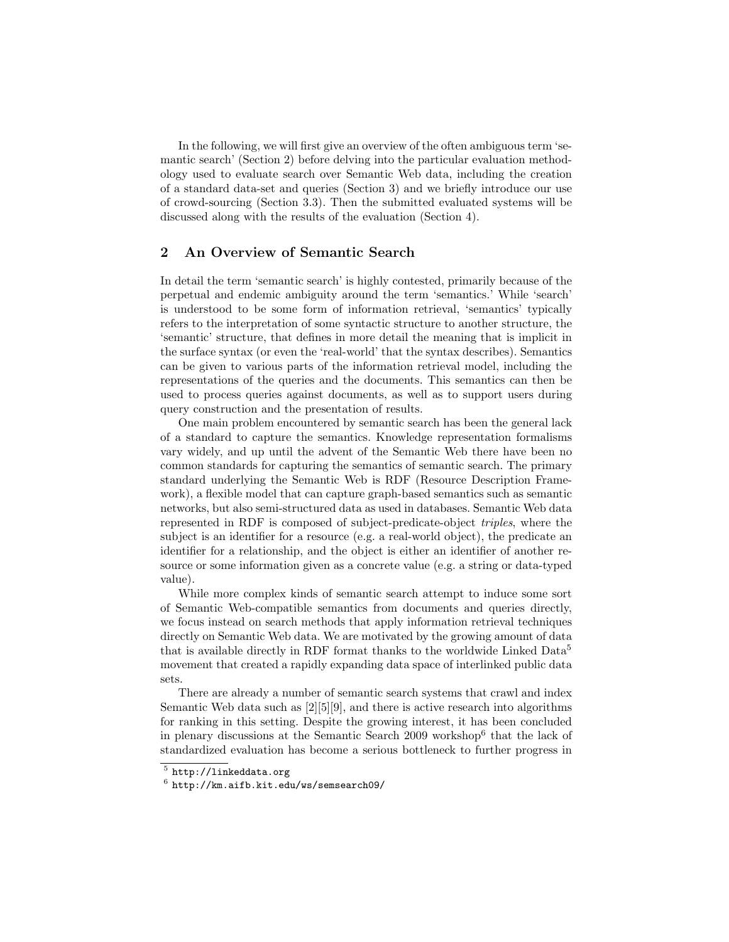In the following, we will first give an overview of the often ambiguous term 'semantic search' (Section 2) before delving into the particular evaluation methodology used to evaluate search over Semantic Web data, including the creation of a standard data-set and queries (Section 3) and we briefly introduce our use of crowd-sourcing (Section 3.3). Then the submitted evaluated systems will be discussed along with the results of the evaluation (Section 4).

### 2 An Overview of Semantic Search

In detail the term 'semantic search' is highly contested, primarily because of the perpetual and endemic ambiguity around the term 'semantics.' While 'search' is understood to be some form of information retrieval, 'semantics' typically refers to the interpretation of some syntactic structure to another structure, the 'semantic' structure, that defines in more detail the meaning that is implicit in the surface syntax (or even the 'real-world' that the syntax describes). Semantics can be given to various parts of the information retrieval model, including the representations of the queries and the documents. This semantics can then be used to process queries against documents, as well as to support users during query construction and the presentation of results.

One main problem encountered by semantic search has been the general lack of a standard to capture the semantics. Knowledge representation formalisms vary widely, and up until the advent of the Semantic Web there have been no common standards for capturing the semantics of semantic search. The primary standard underlying the Semantic Web is RDF (Resource Description Framework), a flexible model that can capture graph-based semantics such as semantic networks, but also semi-structured data as used in databases. Semantic Web data represented in RDF is composed of subject-predicate-object triples, where the subject is an identifier for a resource (e.g. a real-world object), the predicate an identifier for a relationship, and the object is either an identifier of another resource or some information given as a concrete value (e.g. a string or data-typed value).

While more complex kinds of semantic search attempt to induce some sort of Semantic Web-compatible semantics from documents and queries directly, we focus instead on search methods that apply information retrieval techniques directly on Semantic Web data. We are motivated by the growing amount of data that is available directly in RDF format thanks to the worldwide Linked Data<sup>5</sup> movement that created a rapidly expanding data space of interlinked public data sets.

There are already a number of semantic search systems that crawl and index Semantic Web data such as [2][5][9], and there is active research into algorithms for ranking in this setting. Despite the growing interest, it has been concluded in plenary discussions at the Semantic Search 2009 workshop<sup>6</sup> that the lack of standardized evaluation has become a serious bottleneck to further progress in

 $^5$  http://linkeddata.org

 $^6$  http://km.aifb.kit.edu/ws/semsearch09/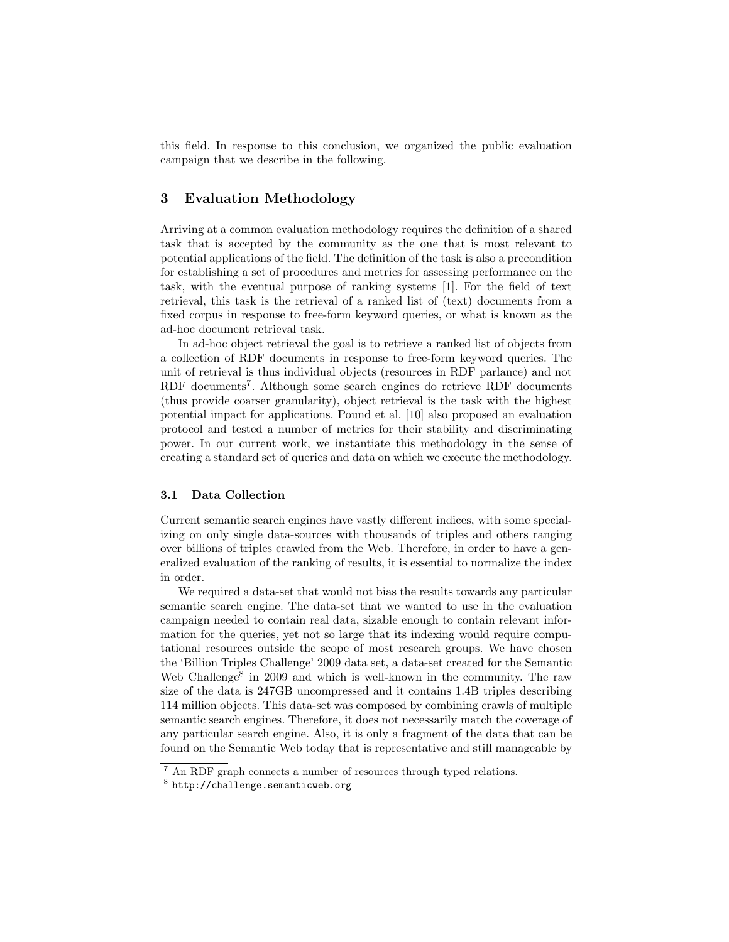this field. In response to this conclusion, we organized the public evaluation campaign that we describe in the following.

## 3 Evaluation Methodology

Arriving at a common evaluation methodology requires the definition of a shared task that is accepted by the community as the one that is most relevant to potential applications of the field. The definition of the task is also a precondition for establishing a set of procedures and metrics for assessing performance on the task, with the eventual purpose of ranking systems [1]. For the field of text retrieval, this task is the retrieval of a ranked list of (text) documents from a fixed corpus in response to free-form keyword queries, or what is known as the ad-hoc document retrieval task.

In ad-hoc object retrieval the goal is to retrieve a ranked list of objects from a collection of RDF documents in response to free-form keyword queries. The unit of retrieval is thus individual objects (resources in RDF parlance) and not RDF documents<sup>7</sup>. Although some search engines do retrieve RDF documents (thus provide coarser granularity), object retrieval is the task with the highest potential impact for applications. Pound et al. [10] also proposed an evaluation protocol and tested a number of metrics for their stability and discriminating power. In our current work, we instantiate this methodology in the sense of creating a standard set of queries and data on which we execute the methodology.

#### 3.1 Data Collection

Current semantic search engines have vastly different indices, with some specializing on only single data-sources with thousands of triples and others ranging over billions of triples crawled from the Web. Therefore, in order to have a generalized evaluation of the ranking of results, it is essential to normalize the index in order.

We required a data-set that would not bias the results towards any particular semantic search engine. The data-set that we wanted to use in the evaluation campaign needed to contain real data, sizable enough to contain relevant information for the queries, yet not so large that its indexing would require computational resources outside the scope of most research groups. We have chosen the 'Billion Triples Challenge' 2009 data set, a data-set created for the Semantic Web Challenge<sup>8</sup> in 2009 and which is well-known in the community. The raw size of the data is 247GB uncompressed and it contains 1.4B triples describing 114 million objects. This data-set was composed by combining crawls of multiple semantic search engines. Therefore, it does not necessarily match the coverage of any particular search engine. Also, it is only a fragment of the data that can be found on the Semantic Web today that is representative and still manageable by

 $\frac{7}{4}$  An RDF graph connects a number of resources through typed relations.

 $^8$  http://challenge.semanticweb.org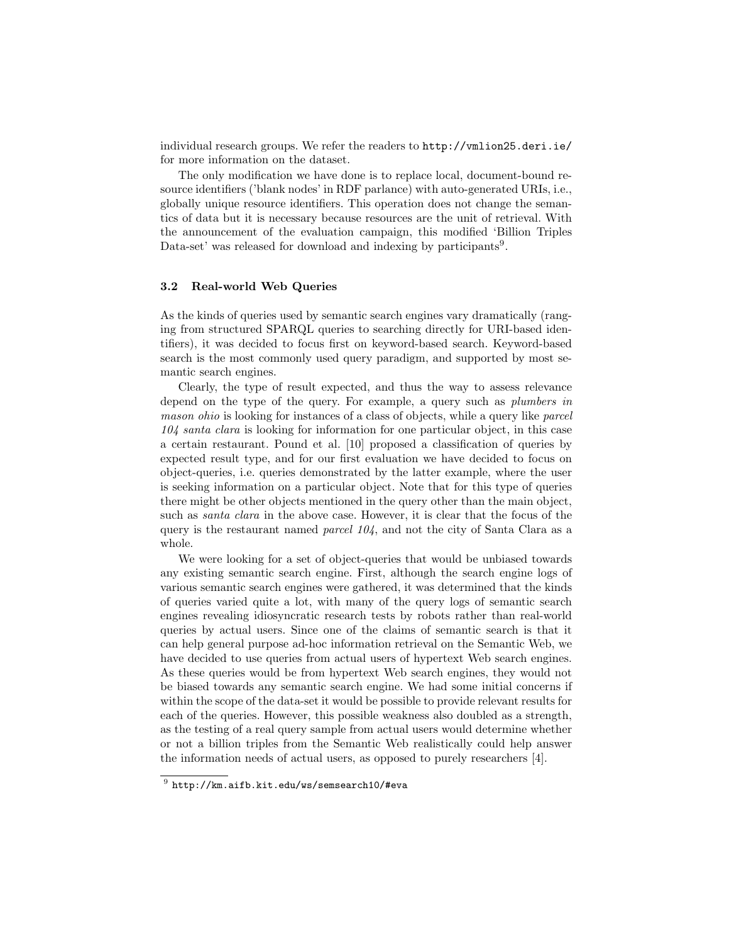individual research groups. We refer the readers to http://vmlion25.deri.ie/ for more information on the dataset.

The only modification we have done is to replace local, document-bound resource identifiers ('blank nodes' in RDF parlance) with auto-generated URIs, i.e., globally unique resource identifiers. This operation does not change the semantics of data but it is necessary because resources are the unit of retrieval. With the announcement of the evaluation campaign, this modified 'Billion Triples Data-set' was released for download and indexing by participants<sup>9</sup>.

#### 3.2 Real-world Web Queries

As the kinds of queries used by semantic search engines vary dramatically (ranging from structured SPARQL queries to searching directly for URI-based identifiers), it was decided to focus first on keyword-based search. Keyword-based search is the most commonly used query paradigm, and supported by most semantic search engines.

Clearly, the type of result expected, and thus the way to assess relevance depend on the type of the query. For example, a query such as plumbers in mason ohio is looking for instances of a class of objects, while a query like parcel 104 santa clara is looking for information for one particular object, in this case a certain restaurant. Pound et al. [10] proposed a classification of queries by expected result type, and for our first evaluation we have decided to focus on object-queries, i.e. queries demonstrated by the latter example, where the user is seeking information on a particular object. Note that for this type of queries there might be other objects mentioned in the query other than the main object, such as santa clara in the above case. However, it is clear that the focus of the query is the restaurant named parcel 104, and not the city of Santa Clara as a whole.

We were looking for a set of object-queries that would be unbiased towards any existing semantic search engine. First, although the search engine logs of various semantic search engines were gathered, it was determined that the kinds of queries varied quite a lot, with many of the query logs of semantic search engines revealing idiosyncratic research tests by robots rather than real-world queries by actual users. Since one of the claims of semantic search is that it can help general purpose ad-hoc information retrieval on the Semantic Web, we have decided to use queries from actual users of hypertext Web search engines. As these queries would be from hypertext Web search engines, they would not be biased towards any semantic search engine. We had some initial concerns if within the scope of the data-set it would be possible to provide relevant results for each of the queries. However, this possible weakness also doubled as a strength, as the testing of a real query sample from actual users would determine whether or not a billion triples from the Semantic Web realistically could help answer the information needs of actual users, as opposed to purely researchers [4].

 $^9$  http://km.aifb.kit.edu/ws/semsearch10/#eva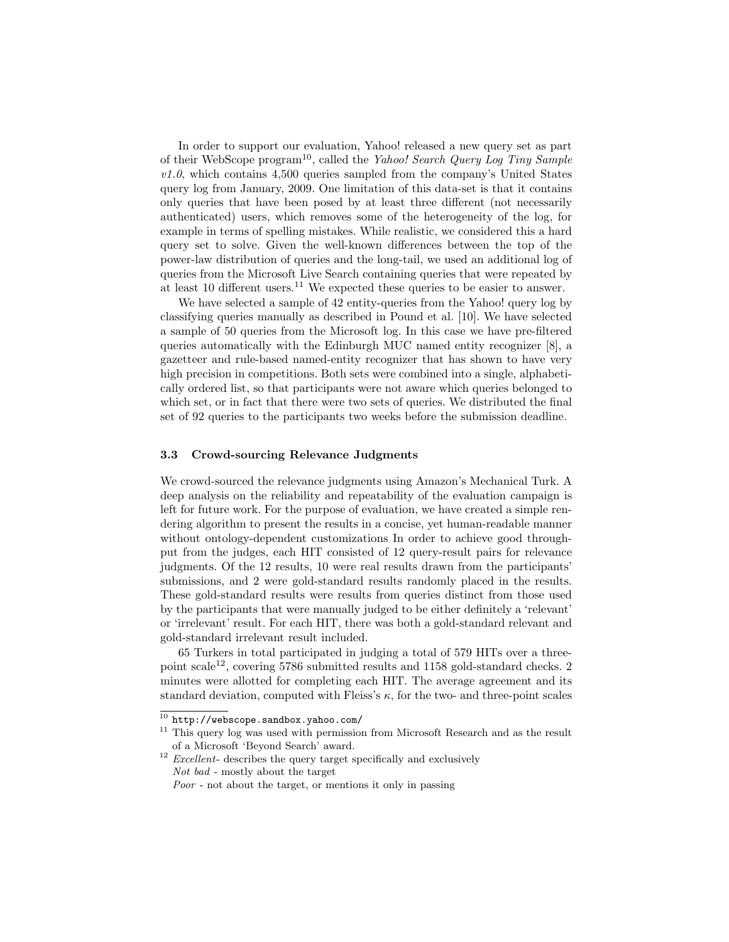In order to support our evaluation, Yahoo! released a new query set as part of their WebScope program<sup>10</sup>, called the *Yahoo! Search Query Log Tiny Sample*  $v1.0$ , which contains 4,500 queries sampled from the company's United States query log from January, 2009. One limitation of this data-set is that it contains only queries that have been posed by at least three different (not necessarily authenticated) users, which removes some of the heterogeneity of the log, for example in terms of spelling mistakes. While realistic, we considered this a hard query set to solve. Given the well-known differences between the top of the power-law distribution of queries and the long-tail, we used an additional log of queries from the Microsoft Live Search containing queries that were repeated by at least 10 different users.<sup>11</sup> We expected these queries to be easier to answer.

We have selected a sample of 42 entity-queries from the Yahoo! query log by classifying queries manually as described in Pound et al. [10]. We have selected a sample of 50 queries from the Microsoft log. In this case we have pre-filtered queries automatically with the Edinburgh MUC named entity recognizer [8], a gazetteer and rule-based named-entity recognizer that has shown to have very high precision in competitions. Both sets were combined into a single, alphabetically ordered list, so that participants were not aware which queries belonged to which set, or in fact that there were two sets of queries. We distributed the final set of 92 queries to the participants two weeks before the submission deadline.

#### 3.3 Crowd-sourcing Relevance Judgments

We crowd-sourced the relevance judgments using Amazon's Mechanical Turk. A deep analysis on the reliability and repeatability of the evaluation campaign is left for future work. For the purpose of evaluation, we have created a simple rendering algorithm to present the results in a concise, yet human-readable manner without ontology-dependent customizations In order to achieve good throughput from the judges, each HIT consisted of 12 query-result pairs for relevance judgments. Of the 12 results, 10 were real results drawn from the participants' submissions, and 2 were gold-standard results randomly placed in the results. These gold-standard results were results from queries distinct from those used by the participants that were manually judged to be either definitely a 'relevant' or 'irrelevant' result. For each HIT, there was both a gold-standard relevant and gold-standard irrelevant result included.

65 Turkers in total participated in judging a total of 579 HITs over a threepoint scale<sup>12</sup>, covering 5786 submitted results and 1158 gold-standard checks. 2 minutes were allotted for completing each HIT. The average agreement and its standard deviation, computed with Fleiss's  $\kappa$ , for the two- and three-point scales

 $^{10}$  http://webscope.sandbox.yahoo.com/

<sup>&</sup>lt;sup>11</sup> This query log was used with permission from Microsoft Research and as the result of a Microsoft 'Beyond Search' award.

 $^{12}$   $\emph{Excellent}$  -describes the query target specifically and exclusively Not bad - mostly about the target Poor - not about the target, or mentions it only in passing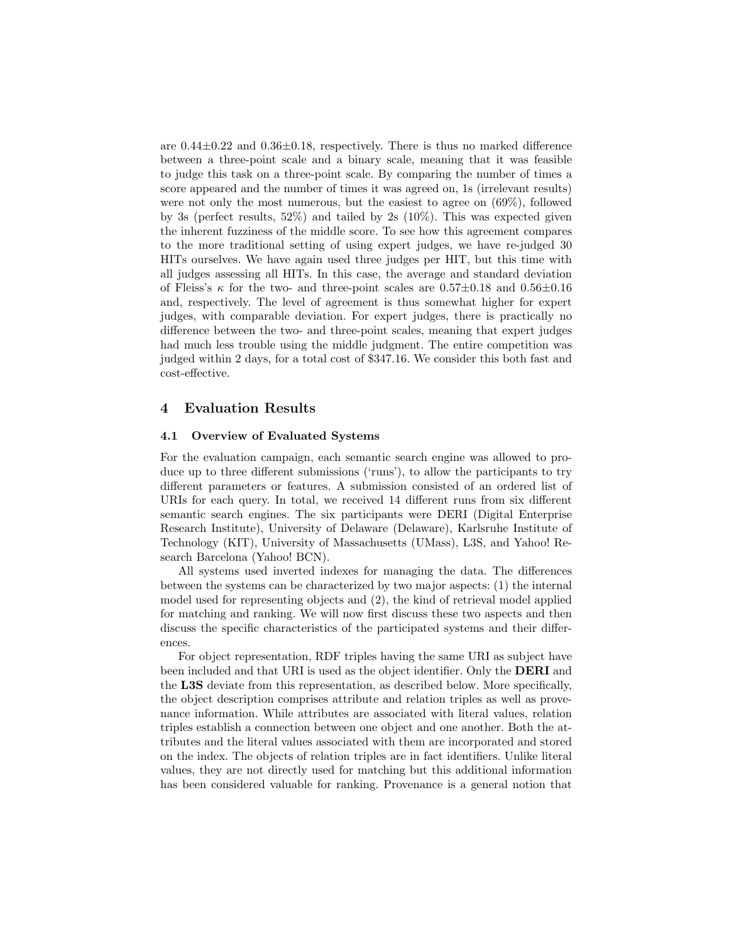are  $0.44\pm0.22$  and  $0.36\pm0.18$ , respectively. There is thus no marked difference between a three-point scale and a binary scale, meaning that it was feasible to judge this task on a three-point scale. By comparing the number of times a score appeared and the number of times it was agreed on, 1s (irrelevant results) were not only the most numerous, but the easiest to agree on (69%), followed by 3s (perfect results,  $52\%$ ) and tailed by 2s  $(10\%)$ . This was expected given the inherent fuzziness of the middle score. To see how this agreement compares to the more traditional setting of using expert judges, we have re-judged 30 HITs ourselves. We have again used three judges per HIT, but this time with all judges assessing all HITs. In this case, the average and standard deviation of Fleiss's  $\kappa$  for the two- and three-point scales are 0.57 $\pm$ 0.18 and 0.56 $\pm$ 0.16 and, respectively. The level of agreement is thus somewhat higher for expert judges, with comparable deviation. For expert judges, there is practically no difference between the two- and three-point scales, meaning that expert judges had much less trouble using the middle judgment. The entire competition was judged within 2 days, for a total cost of \$347.16. We consider this both fast and cost-effective.

### 4 Evaluation Results

#### 4.1 Overview of Evaluated Systems

For the evaluation campaign, each semantic search engine was allowed to produce up to three different submissions ('runs'), to allow the participants to try different parameters or features. A submission consisted of an ordered list of URIs for each query. In total, we received 14 different runs from six different semantic search engines. The six participants were DERI (Digital Enterprise Research Institute), University of Delaware (Delaware), Karlsruhe Institute of Technology (KIT), University of Massachusetts (UMass), L3S, and Yahoo! Research Barcelona (Yahoo! BCN).

All systems used inverted indexes for managing the data. The differences between the systems can be characterized by two major aspects: (1) the internal model used for representing objects and (2), the kind of retrieval model applied for matching and ranking. We will now first discuss these two aspects and then discuss the specific characteristics of the participated systems and their differences.

For object representation, RDF triples having the same URI as subject have been included and that URI is used as the object identifier. Only the DERI and the L3S deviate from this representation, as described below. More specifically, the object description comprises attribute and relation triples as well as provenance information. While attributes are associated with literal values, relation triples establish a connection between one object and one another. Both the attributes and the literal values associated with them are incorporated and stored on the index. The objects of relation triples are in fact identifiers. Unlike literal values, they are not directly used for matching but this additional information has been considered valuable for ranking. Provenance is a general notion that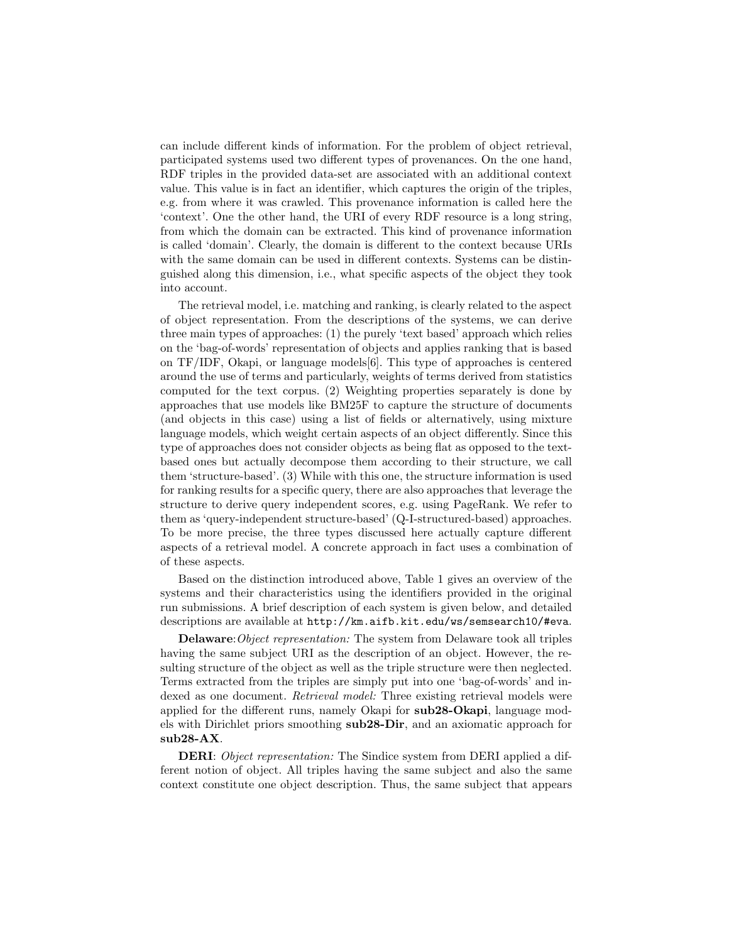can include different kinds of information. For the problem of object retrieval, participated systems used two different types of provenances. On the one hand, RDF triples in the provided data-set are associated with an additional context value. This value is in fact an identifier, which captures the origin of the triples, e.g. from where it was crawled. This provenance information is called here the 'context'. One the other hand, the URI of every RDF resource is a long string, from which the domain can be extracted. This kind of provenance information is called 'domain'. Clearly, the domain is different to the context because URIs with the same domain can be used in different contexts. Systems can be distinguished along this dimension, i.e., what specific aspects of the object they took into account.

The retrieval model, i.e. matching and ranking, is clearly related to the aspect of object representation. From the descriptions of the systems, we can derive three main types of approaches: (1) the purely 'text based' approach which relies on the 'bag-of-words' representation of objects and applies ranking that is based on TF/IDF, Okapi, or language models[6]. This type of approaches is centered around the use of terms and particularly, weights of terms derived from statistics computed for the text corpus. (2) Weighting properties separately is done by approaches that use models like BM25F to capture the structure of documents (and objects in this case) using a list of fields or alternatively, using mixture language models, which weight certain aspects of an object differently. Since this type of approaches does not consider objects as being flat as opposed to the textbased ones but actually decompose them according to their structure, we call them 'structure-based'. (3) While with this one, the structure information is used for ranking results for a specific query, there are also approaches that leverage the structure to derive query independent scores, e.g. using PageRank. We refer to them as 'query-independent structure-based' (Q-I-structured-based) approaches. To be more precise, the three types discussed here actually capture different aspects of a retrieval model. A concrete approach in fact uses a combination of of these aspects.

Based on the distinction introduced above, Table 1 gives an overview of the systems and their characteristics using the identifiers provided in the original run submissions. A brief description of each system is given below, and detailed descriptions are available at http://km.aifb.kit.edu/ws/semsearch10/#eva.

Delaware:Object representation: The system from Delaware took all triples having the same subject URI as the description of an object. However, the resulting structure of the object as well as the triple structure were then neglected. Terms extracted from the triples are simply put into one 'bag-of-words' and indexed as one document. Retrieval model: Three existing retrieval models were applied for the different runs, namely Okapi for sub28-Okapi, language models with Dirichlet priors smoothing sub28-Dir, and an axiomatic approach for sub28-AX.

DERI: Object representation: The Sindice system from DERI applied a different notion of object. All triples having the same subject and also the same context constitute one object description. Thus, the same subject that appears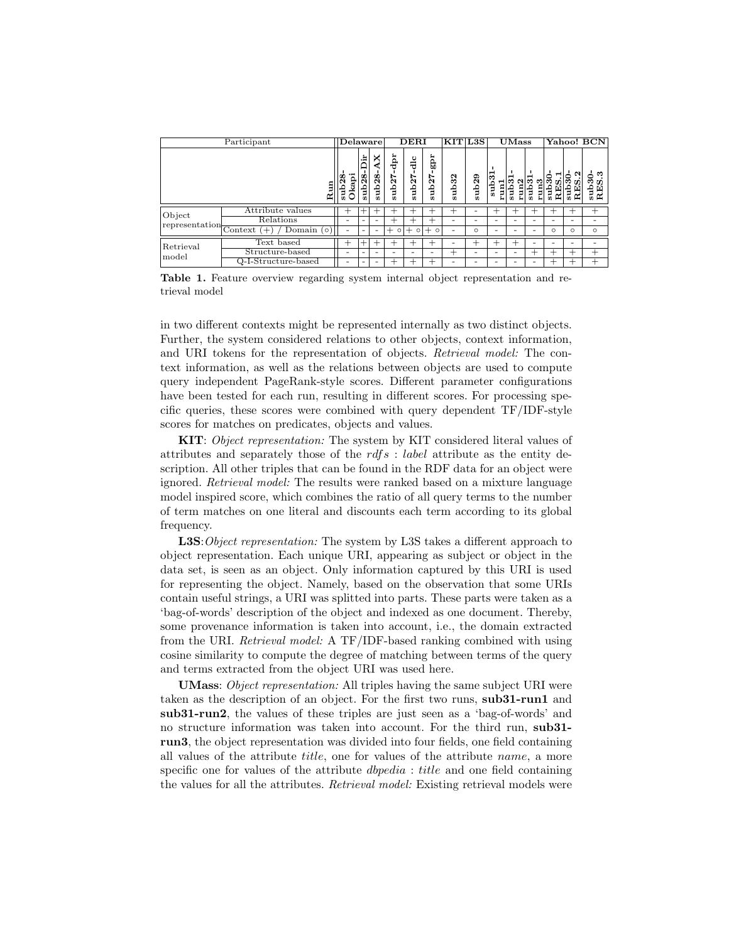| Participant                          |                     | <b>Delaware</b> |                               | <b>DERI</b>         |                         | KIT L3S                    |                              | <b>UMass</b>      |           | Yahoo! BCN                      |               |              |         |                                  |                                      |
|--------------------------------------|---------------------|-----------------|-------------------------------|---------------------|-------------------------|----------------------------|------------------------------|-------------------|-----------|---------------------------------|---------------|--------------|---------|----------------------------------|--------------------------------------|
|                                      | ≃                   | 528<br>ą<br>w   | ÷<br><br>$^{\circ}$<br>N<br>w | ×<br>œ.<br>ub2<br>w | $\det$<br>N<br>ub2<br>w | de<br>r<br>ub2<br>$\Omega$ | gpr<br>r<br>ub2<br><b>SQ</b> | N<br>öÓ<br>È<br>w | ub29<br>w | −<br>S<br>$\Omega$<br>ដូ<br>Fun | −<br>m<br>CO. | 'ന<br>∞<br>w | m<br>w  | N<br>∞<br>m<br>囯<br>w            | ∞<br>⊂<br>S<br>m<br>음<br>囯<br>≃<br>w |
| Object<br>$representation$ Context ( | Attribute values    |                 | $^+$                          | +                   | +                       | $^+$                       |                              |                   |           | ÷                               | ┭             | $^+$         |         |                                  |                                      |
|                                      | Relations           | -               | $\overline{\phantom{a}}$      | ۰                   | +                       | $\div$                     | $^{+}$                       | -                 | $\sim$    | -                               | -             | -            | ۰       | -                                |                                      |
|                                      | Domain (0)          | -               | -                             | -                   | $\circ$<br>$^+$         | $\circ$<br>$^+$            | $\circ$                      | -                 | $\circ$   | -                               | -             | ۰            | $\circ$ | $\circ$                          | $\circ$                              |
| Retrieval<br>$ $ model               | Text based          | $^+$            | $^+$                          | $^+$                | $^+$                    | $^+$                       | $^{+}$                       | -                 | $^+$      | $^+$                            | $^+$          | ۰            | ۰       | -                                | -                                    |
|                                      | Structure-based     | -               | -                             | -                   | -                       | -                          | -                            | +                 |           | -                               | -             | $^+$         | $^+$    | $\hspace{0.1mm} +\hspace{0.1mm}$ | $^+$                                 |
|                                      | Q-I-Structure-based |                 |                               |                     |                         | $^{\mathrm{+}}$            | $^{+}$                       |                   | ۰         | -                               | ۰             | -            | $^+$    |                                  | $^+$                                 |

Table 1. Feature overview regarding system internal object representation and retrieval model

in two different contexts might be represented internally as two distinct objects. Further, the system considered relations to other objects, context information, and URI tokens for the representation of objects. Retrieval model: The context information, as well as the relations between objects are used to compute query independent PageRank-style scores. Different parameter configurations have been tested for each run, resulting in different scores. For processing specific queries, these scores were combined with query dependent TF/IDF-style scores for matches on predicates, objects and values.

KIT: Object representation: The system by KIT considered literal values of attributes and separately those of the  $\textit{rdfs}: \textit{label}$  attribute as the entity description. All other triples that can be found in the RDF data for an object were ignored. Retrieval model: The results were ranked based on a mixture language model inspired score, which combines the ratio of all query terms to the number of term matches on one literal and discounts each term according to its global frequency.

L3S:Object representation: The system by L3S takes a different approach to object representation. Each unique URI, appearing as subject or object in the data set, is seen as an object. Only information captured by this URI is used for representing the object. Namely, based on the observation that some URIs contain useful strings, a URI was splitted into parts. These parts were taken as a 'bag-of-words' description of the object and indexed as one document. Thereby, some provenance information is taken into account, i.e., the domain extracted from the URI. Retrieval model: A TF/IDF-based ranking combined with using cosine similarity to compute the degree of matching between terms of the query and terms extracted from the object URI was used here.

UMass: Object representation: All triples having the same subject URI were taken as the description of an object. For the first two runs, sub31-run1 and sub31-run2, the values of these triples are just seen as a 'bag-of-words' and no structure information was taken into account. For the third run, sub31 run3, the object representation was divided into four fields, one field containing all values of the attribute title, one for values of the attribute name, a more specific one for values of the attribute *dbpedia* : *title* and one field containing the values for all the attributes. Retrieval model: Existing retrieval models were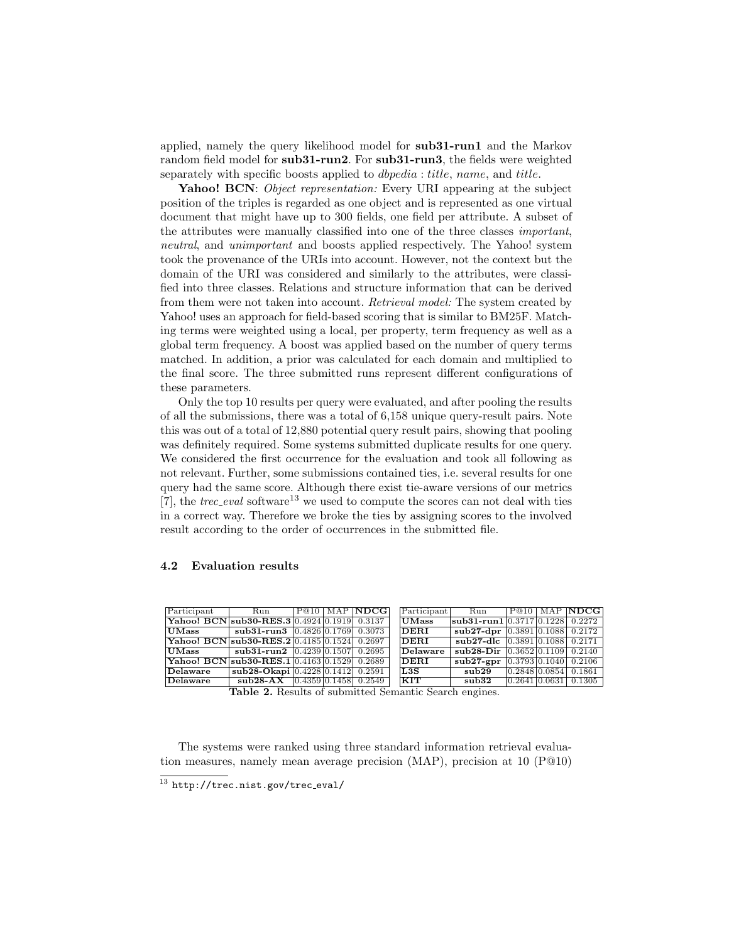applied, namely the query likelihood model for sub31-run1 and the Markov random field model for sub31-run2. For sub31-run3, the fields were weighted separately with specific boosts applied to *dbpedia : title*, *name*, and *title*.

Yahoo! BCN: *Object representation:* Every URI appearing at the subject position of the triples is regarded as one object and is represented as one virtual document that might have up to 300 fields, one field per attribute. A subset of the attributes were manually classified into one of the three classes important, neutral, and unimportant and boosts applied respectively. The Yahoo! system took the provenance of the URIs into account. However, not the context but the domain of the URI was considered and similarly to the attributes, were classified into three classes. Relations and structure information that can be derived from them were not taken into account. Retrieval model: The system created by Yahoo! uses an approach for field-based scoring that is similar to BM25F. Matching terms were weighted using a local, per property, term frequency as well as a global term frequency. A boost was applied based on the number of query terms matched. In addition, a prior was calculated for each domain and multiplied to the final score. The three submitted runs represent different configurations of these parameters.

Only the top 10 results per query were evaluated, and after pooling the results of all the submissions, there was a total of 6,158 unique query-result pairs. Note this was out of a total of 12,880 potential query result pairs, showing that pooling was definitely required. Some systems submitted duplicate results for one query. We considered the first occurrence for the evaluation and took all following as not relevant. Further, some submissions contained ties, i.e. several results for one query had the same score. Although there exist tie-aware versions of our metrics [7], the  $tree\_eval$  software<sup>13</sup> we used to compute the scores can not deal with ties in a correct way. Therefore we broke the ties by assigning scores to the involved result according to the order of occurrences in the submitted file.

#### 4.2 Evaluation results

| Participant                                 | Run.                                |  | $ P@10 $ MAP $ NDCG $ | Participant                | Run                                                         |  | $P@10$   MAP   NDCG                            |
|---------------------------------------------|-------------------------------------|--|-----------------------|----------------------------|-------------------------------------------------------------|--|------------------------------------------------|
| Yahoo! BCN sub30-RES.3 0.4924 0.1919 0.3137 |                                     |  |                       | $\overline{\text{UM}}$ ass | sub31-run1 0.3717 0.1228 0.2272                             |  |                                                |
| <b>IIMass</b>                               | sub31-run3 $ 0.4826 0.1769 0.3073$  |  |                       | <b>DERI</b>                | sub27-dpr $ 0.3891 0.1088 0.2172$                           |  |                                                |
| Yahoo! BCN sub30-RES.2 0.4185 0.1524 0.2697 |                                     |  |                       | <b>DERI</b>                | sub27-dlc $[0.3891]0.1088]0.2171$                           |  |                                                |
| <b>UMass</b>                                | sub31-run2 $(0.4239)0.1507$ 0.2695  |  |                       | <b>Delaware</b>            | sub28-Dir $\vert 0.36\overline{52}\vert 0.1109\vert 0.2140$ |  |                                                |
| Yahoo! BCN sub30-RES.1 0.4163 0.1529 0.2689 |                                     |  |                       | <b>DERI</b>                | $sub27-gpr$ 0.3793 0.1040 0.2106                            |  |                                                |
| $\sf{Delaware}$                             | sub28-Okapi $ 0.4228 0.1412 0.2591$ |  |                       | L3S                        | sub29                                                       |  | $\left  0.2848 \right  0.0854$ 0.1861          |
| Delaware                                    | $sub28-AX$ $ 0.4359 0.1458 0.2549$  |  |                       | <b>KIT</b>                 | sub32                                                       |  | $\vert 0.2641 \vert 0.0631 \vert 0.1305 \vert$ |

Table 2. Results of submitted Semantic Search engines.

The systems were ranked using three standard information retrieval evaluation measures, namely mean average precision (MAP), precision at 10 (P@10)

 $^{13}$  http://trec.nist.gov/trec\_eval/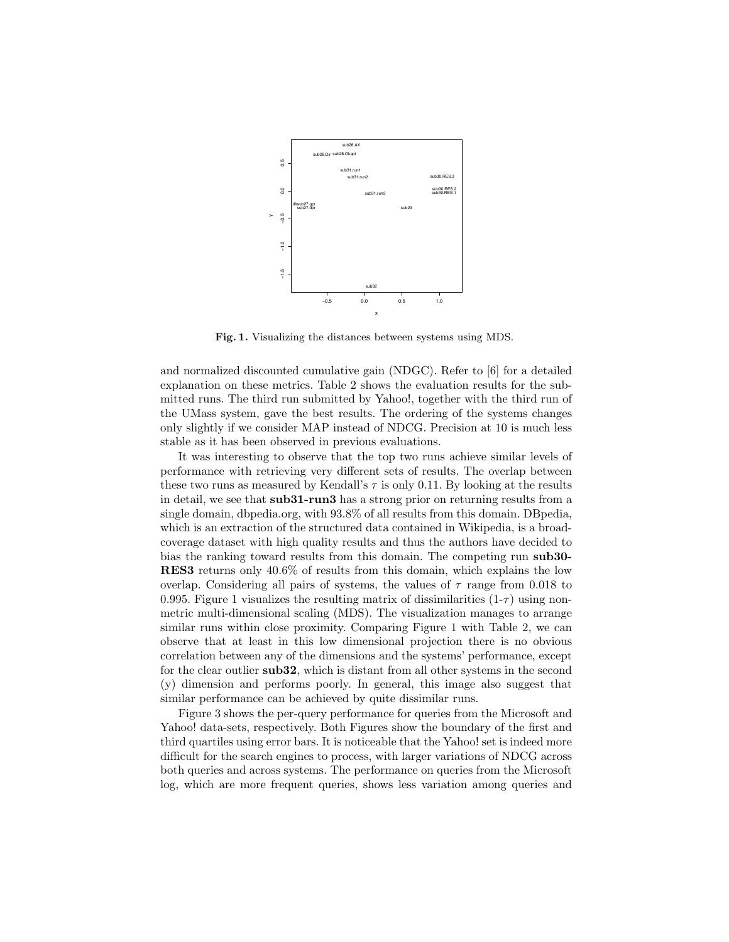

Fig. 1. Visualizing the distances between systems using MDS.

and normalized discounted cumulative gain (NDGC). Refer to [6] for a detailed explanation on these metrics. Table 2 shows the evaluation results for the submitted runs. The third run submitted by Yahoo!, together with the third run of the UMass system, gave the best results. The ordering of the systems changes only slightly if we consider MAP instead of NDCG. Precision at 10 is much less stable as it has been observed in previous evaluations.

It was interesting to observe that the top two runs achieve similar levels of performance with retrieving very different sets of results. The overlap between these two runs as measured by Kendall's  $\tau$  is only 0.11. By looking at the results in detail, we see that sub31-run3 has a strong prior on returning results from a single domain, dbpedia.org, with 93.8% of all results from this domain. DBpedia, which is an extraction of the structured data contained in Wikipedia, is a broadcoverage dataset with high quality results and thus the authors have decided to bias the ranking toward results from this domain. The competing run sub30- RES3 returns only 40.6% of results from this domain, which explains the low overlap. Considering all pairs of systems, the values of  $\tau$  range from 0.018 to 0.995. Figure 1 visualizes the resulting matrix of dissimilarities  $(1-\tau)$  using nonmetric multi-dimensional scaling (MDS). The visualization manages to arrange similar runs within close proximity. Comparing Figure 1 with Table 2, we can observe that at least in this low dimensional projection there is no obvious correlation between any of the dimensions and the systems' performance, except for the clear outlier sub32, which is distant from all other systems in the second (y) dimension and performs poorly. In general, this image also suggest that similar performance can be achieved by quite dissimilar runs.

Figure 3 shows the per-query performance for queries from the Microsoft and Yahoo! data-sets, respectively. Both Figures show the boundary of the first and third quartiles using error bars. It is noticeable that the Yahoo! set is indeed more difficult for the search engines to process, with larger variations of NDCG across both queries and across systems. The performance on queries from the Microsoft log, which are more frequent queries, shows less variation among queries and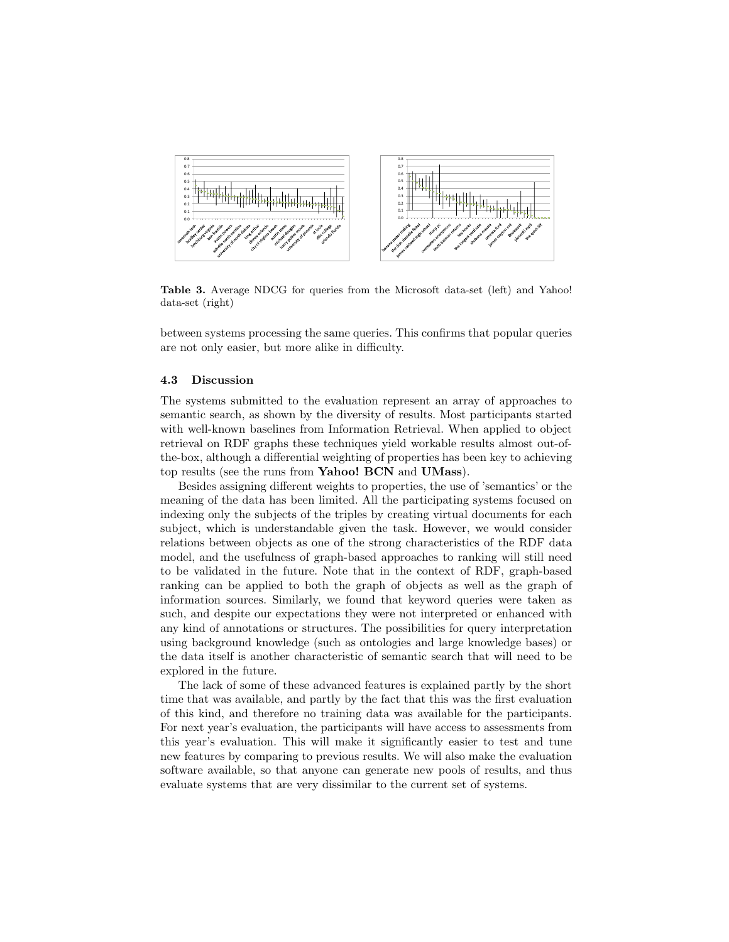

Table 3. Average NDCG for queries from the Microsoft data-set (left) and Yahoo! data-set (right)

between systems processing the same queries. This confirms that popular queries are not only easier, but more alike in difficulty.

#### 4.3 Discussion

The systems submitted to the evaluation represent an array of approaches to semantic search, as shown by the diversity of results. Most participants started with well-known baselines from Information Retrieval. When applied to object retrieval on RDF graphs these techniques yield workable results almost out-ofthe-box, although a differential weighting of properties has been key to achieving top results (see the runs from Yahoo! BCN and UMass).

Besides assigning different weights to properties, the use of 'semantics' or the meaning of the data has been limited. All the participating systems focused on indexing only the subjects of the triples by creating virtual documents for each subject, which is understandable given the task. However, we would consider relations between objects as one of the strong characteristics of the RDF data model, and the usefulness of graph-based approaches to ranking will still need to be validated in the future. Note that in the context of RDF, graph-based ranking can be applied to both the graph of objects as well as the graph of information sources. Similarly, we found that keyword queries were taken as such, and despite our expectations they were not interpreted or enhanced with any kind of annotations or structures. The possibilities for query interpretation using background knowledge (such as ontologies and large knowledge bases) or the data itself is another characteristic of semantic search that will need to be explored in the future.

The lack of some of these advanced features is explained partly by the short time that was available, and partly by the fact that this was the first evaluation of this kind, and therefore no training data was available for the participants. For next year's evaluation, the participants will have access to assessments from this year's evaluation. This will make it significantly easier to test and tune new features by comparing to previous results. We will also make the evaluation software available, so that anyone can generate new pools of results, and thus evaluate systems that are very dissimilar to the current set of systems.